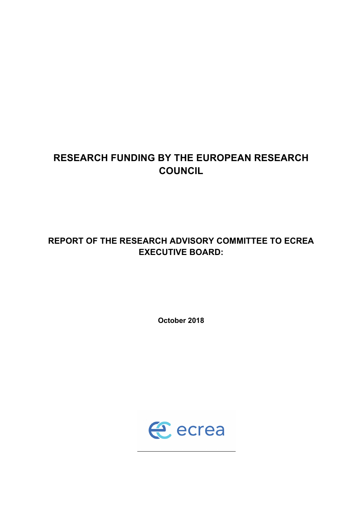# **RESEARCH FUNDING BY THE EUROPEAN RESEARCH COUNCIL**

# **REPORT OF THE RESEARCH ADVISORY COMMITTEE TO ECREA EXECUTIVE BOARD:**

**October 2018**

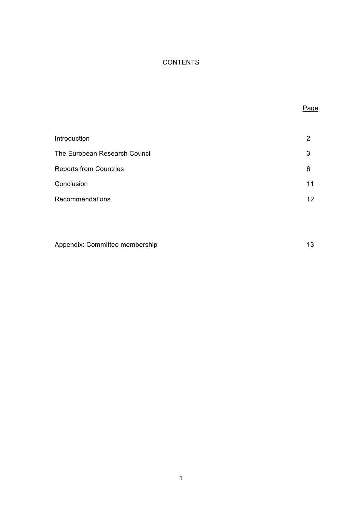## **CONTENTS**

| ×<br>I |
|--------|

| Introduction                  | 2               |
|-------------------------------|-----------------|
| The European Research Council | 3               |
| <b>Reports from Countries</b> | 6               |
| Conclusion                    | 11              |
| <b>Recommendations</b>        | 12 <sup>°</sup> |

| Appendix: Committee membership |  |
|--------------------------------|--|
|--------------------------------|--|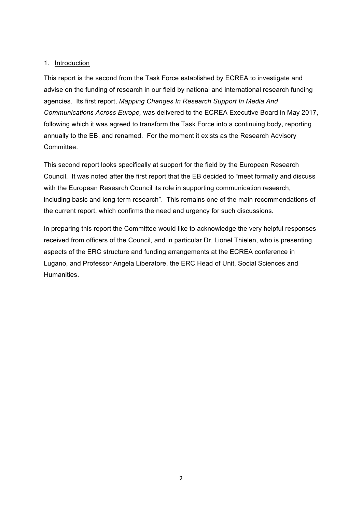## 1. Introduction

This report is the second from the Task Force established by ECREA to investigate and advise on the funding of research in our field by national and international research funding agencies. Its first report, *Mapping Changes In Research Support In Media And Communications Across Europe,* was delivered to the ECREA Executive Board in May 2017, following which it was agreed to transform the Task Force into a continuing body, reporting annually to the EB, and renamed. For the moment it exists as the Research Advisory **Committee.** 

This second report looks specifically at support for the field by the European Research Council. It was noted after the first report that the EB decided to "meet formally and discuss with the European Research Council its role in supporting communication research, including basic and long-term research". This remains one of the main recommendations of the current report, which confirms the need and urgency for such discussions.

In preparing this report the Committee would like to acknowledge the very helpful responses received from officers of the Council, and in particular Dr. Lionel Thielen, who is presenting aspects of the ERC structure and funding arrangements at the ECREA conference in Lugano, and Professor Angela Liberatore, the ERC Head of Unit, Social Sciences and Humanities.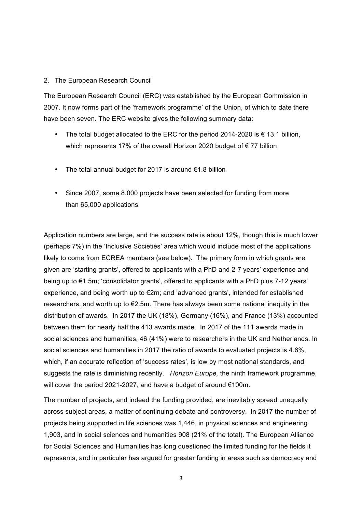### 2. The European Research Council

The European Research Council (ERC) was established by the European Commission in 2007. It now forms part of the 'framework programme' of the Union, of which to date there have been seven. The ERC website gives the following summary data:

- The total budget allocated to the ERC for the period 2014-2020 is  $\epsilon$  13.1 billion, which represents 17% of the overall Horizon 2020 budget of € 77 billion
- The total annual budget for 2017 is around €1.8 billion
- Since 2007, some 8,000 projects have been selected for funding from more than 65,000 applications

Application numbers are large, and the success rate is about 12%, though this is much lower (perhaps 7%) in the 'Inclusive Societies' area which would include most of the applications likely to come from ECREA members (see below). The primary form in which grants are given are 'starting grants', offered to applicants with a PhD and 2-7 years' experience and being up to €1.5m; 'consolidator grants', offered to applicants with a PhD plus 7-12 years' experience, and being worth up to €2m; and 'advanced grants', intended for established researchers, and worth up to €2.5m. There has always been some national inequity in the distribution of awards. In 2017 the UK (18%), Germany (16%), and France (13%) accounted between them for nearly half the 413 awards made. In 2017 of the 111 awards made in social sciences and humanities, 46 (41%) were to researchers in the UK and Netherlands. In social sciences and humanities in 2017 the ratio of awards to evaluated projects is 4.6%, which, if an accurate reflection of 'success rates', is low by most national standards, and suggests the rate is diminishing recently. *Horizon Europe,* the ninth framework programme, will cover the period 2021-2027, and have a budget of around €100m.

The number of projects, and indeed the funding provided, are inevitably spread unequally across subject areas, a matter of continuing debate and controversy. In 2017 the number of projects being supported in life sciences was 1,446, in physical sciences and engineering 1,903, and in social sciences and humanities 908 (21% of the total). The European Alliance for Social Sciences and Humanities has long questioned the limited funding for the fields it represents, and in particular has argued for greater funding in areas such as democracy and

3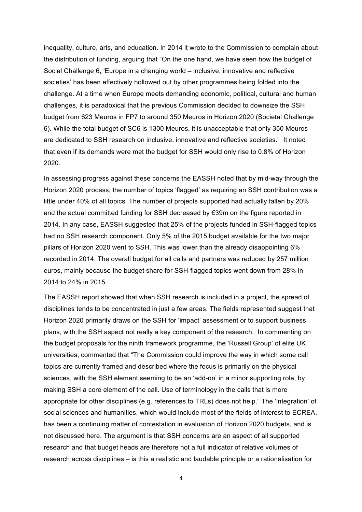inequality, culture, arts, and education. In 2014 it wrote to the Commission to complain about the distribution of funding, arguing that "On the one hand, we have seen how the budget of Social Challenge 6, 'Europe in a changing world – inclusive, innovative and reflective societies' has been effectively hollowed out by other programmes being folded into the challenge. At a time when Europe meets demanding economic, political, cultural and human challenges, it is paradoxical that the previous Commission decided to downsize the SSH budget from 623 Meuros in FP7 to around 350 Meuros in Horizon 2020 (Societal Challenge 6). While the total budget of SC6 is 1300 Meuros, it is unacceptable that only 350 Meuros are dedicated to SSH research on inclusive, innovative and reflective societies." It noted that even if its demands were met the budget for SSH would only rise to 0.8% of Horizon 2020.

In assessing progress against these concerns the EASSH noted that by mid-way through the Horizon 2020 process, the number of topics 'flagged' as requiring an SSH contribution was a little under 40% of all topics. The number of projects supported had actually fallen by 20% and the actual committed funding for SSH decreased by  $\epsilon$ 39m on the figure reported in 2014. In any case, EASSH suggested that 25% of the projects funded in SSH-flagged topics had no SSH research component. Only 5% of the 2015 budget available for the two major pillars of Horizon 2020 went to SSH. This was lower than the already disappointing 6% recorded in 2014. The overall budget for all calls and partners was reduced by 257 million euros, mainly because the budget share for SSH-flagged topics went down from 28% in 2014 to 24% in 2015.

The EASSH report showed that when SSH research is included in a project, the spread of disciplines tends to be concentrated in just a few areas. The fields represented suggest that Horizon 2020 primarily draws on the SSH for 'impact' assessment or to support business plans, with the SSH aspect not really a key component of the research. In commenting on the budget proposals for the ninth framework programme, the 'Russell Group' of elite UK universities, commented that "The Commission could improve the way in which some call topics are currently framed and described where the focus is primarily on the physical sciences, with the SSH element seeming to be an 'add-on' in a minor supporting role, by making SSH a core element of the call. Use of terminology in the calls that is more appropriate for other disciplines (e.g. references to TRLs) does not help." The 'integration' of social sciences and humanities, which would include most of the fields of interest to ECREA, has been a continuing matter of contestation in evaluation of Horizon 2020 budgets, and is not discussed here. The argument is that SSH concerns are an aspect of all supported research and that budget heads are therefore not a full indicator of relative volumes of research across disciplines – is this a realistic and laudable principle or a rationalisation for

4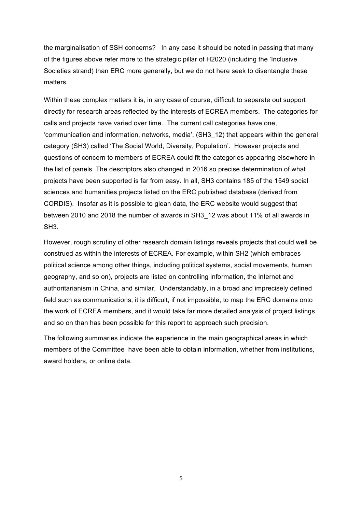the marginalisation of SSH concerns? In any case it should be noted in passing that many of the figures above refer more to the strategic pillar of H2020 (including the 'Inclusive Societies strand) than ERC more generally, but we do not here seek to disentangle these matters.

Within these complex matters it is, in any case of course, difficult to separate out support directly for research areas reflected by the interests of ECREA members. The categories for calls and projects have varied over time. The current call categories have one, 'communication and information, networks, media', (SH3\_12) that appears within the general category (SH3) called 'The Social World, Diversity, Population'. However projects and questions of concern to members of ECREA could fit the categories appearing elsewhere in the list of panels. The descriptors also changed in 2016 so precise determination of what projects have been supported is far from easy. In all, SH3 contains 185 of the 1549 social sciences and humanities projects listed on the ERC published database (derived from CORDIS). Insofar as it is possible to glean data, the ERC website would suggest that between 2010 and 2018 the number of awards in SH3\_12 was about 11% of all awards in SH3.

However, rough scrutiny of other research domain listings reveals projects that could well be construed as within the interests of ECREA. For example, within SH2 (which embraces political science among other things, including political systems, social movements, human geography, and so on), projects are listed on controlling information, the internet and authoritarianism in China, and similar. Understandably, in a broad and imprecisely defined field such as communications, it is difficult, if not impossible, to map the ERC domains onto the work of ECREA members, and it would take far more detailed analysis of project listings and so on than has been possible for this report to approach such precision.

The following summaries indicate the experience in the main geographical areas in which members of the Committee have been able to obtain information, whether from institutions, award holders, or online data.

5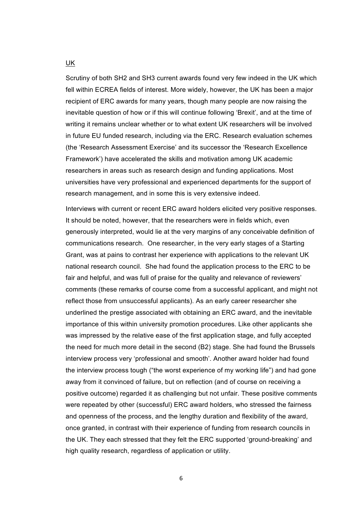Scrutiny of both SH2 and SH3 current awards found very few indeed in the UK which fell within ECREA fields of interest. More widely, however, the UK has been a major recipient of ERC awards for many years, though many people are now raising the inevitable question of how or if this will continue following 'Brexit', and at the time of writing it remains unclear whether or to what extent UK researchers will be involved in future EU funded research, including via the ERC. Research evaluation schemes (the 'Research Assessment Exercise' and its successor the 'Research Excellence Framework') have accelerated the skills and motivation among UK academic researchers in areas such as research design and funding applications. Most universities have very professional and experienced departments for the support of research management, and in some this is very extensive indeed.

Interviews with current or recent ERC award holders elicited very positive responses. It should be noted, however, that the researchers were in fields which, even generously interpreted, would lie at the very margins of any conceivable definition of communications research. One researcher, in the very early stages of a Starting Grant, was at pains to contrast her experience with applications to the relevant UK national research council. She had found the application process to the ERC to be fair and helpful, and was full of praise for the quality and relevance of reviewers' comments (these remarks of course come from a successful applicant, and might not reflect those from unsuccessful applicants). As an early career researcher she underlined the prestige associated with obtaining an ERC award, and the inevitable importance of this within university promotion procedures. Like other applicants she was impressed by the relative ease of the first application stage, and fully accepted the need for much more detail in the second (B2) stage. She had found the Brussels interview process very 'professional and smooth'. Another award holder had found the interview process tough ("the worst experience of my working life") and had gone away from it convinced of failure, but on reflection (and of course on receiving a positive outcome) regarded it as challenging but not unfair. These positive comments were repeated by other (successful) ERC award holders, who stressed the fairness and openness of the process, and the lengthy duration and flexibility of the award, once granted, in contrast with their experience of funding from research councils in the UK. They each stressed that they felt the ERC supported 'ground-breaking' and high quality research, regardless of application or utility.

UK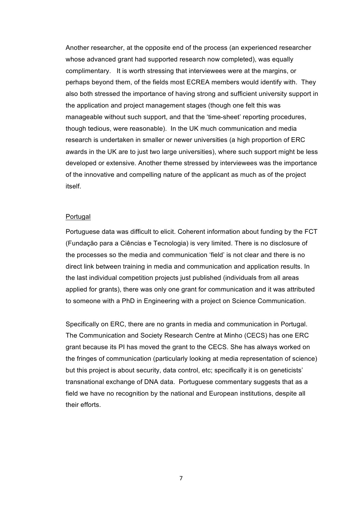Another researcher, at the opposite end of the process (an experienced researcher whose advanced grant had supported research now completed), was equally complimentary. It is worth stressing that interviewees were at the margins, or perhaps beyond them, of the fields most ECREA members would identify with. They also both stressed the importance of having strong and sufficient university support in the application and project management stages (though one felt this was manageable without such support, and that the 'time-sheet' reporting procedures, though tedious, were reasonable). In the UK much communication and media research is undertaken in smaller or newer universities (a high proportion of ERC awards in the UK are to just two large universities), where such support might be less developed or extensive. Another theme stressed by interviewees was the importance of the innovative and compelling nature of the applicant as much as of the project itself.

#### Portugal

Portuguese data was difficult to elicit. Coherent information about funding by the FCT (Fundação para a Ciências e Tecnologia) is very limited. There is no disclosure of the processes so the media and communication 'field' is not clear and there is no direct link between training in media and communication and application results. In the last individual competition projects just published (individuals from all areas applied for grants), there was only one grant for communication and it was attributed to someone with a PhD in Engineering with a project on Science Communication.

Specifically on ERC, there are no grants in media and communication in Portugal. The Communication and Society Research Centre at Minho (CECS) has one ERC grant because its PI has moved the grant to the CECS. She has always worked on the fringes of communication (particularly looking at media representation of science) but this project is about security, data control, etc; specifically it is on geneticists' transnational exchange of DNA data. Portuguese commentary suggests that as a field we have no recognition by the national and European institutions, despite all their efforts.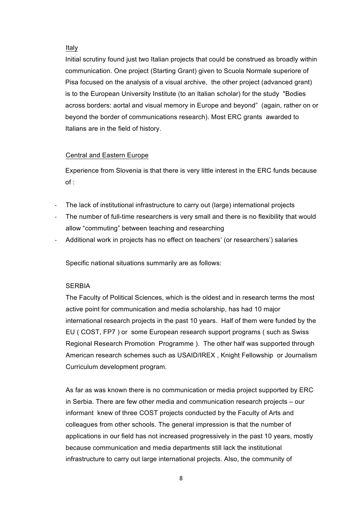### Italy

Initial scrutiny found just two Italian projects that could be construed as broadly within communication. One project (Starting Grant) given to Scuola Normale superiore of Pisa focused on the analysis of a visual archive, the other project (advanced grant) is to the European University Institute (to an Italian scholar) for the study "Bodies across borders: aortal and visual memory in Europe and beyond" (again, rather on or beyond the border of communications research). Most ERC grants awarded to Italians are in the field of history.

## Central and Eastern Europe

Experience from Slovenia is that there is very little interest in the ERC funds because of :

- The lack of institutional infrastructure to carry out (large) international projects
- The number of full-time researchers is very small and there is no flexibility that would allow "commuting" between teaching and researching
- Additional work in projects has no effect on teachers' (or researchers') salaries

Specific national situations summarily are as follows:

## **SERBIA**

The Faculty of Political Sciences, which is the oldest and in research terms the most active point for communication and media scholarship, has had 10 major international research projects in the past 10 years. Half of them were funded by the EU ( COST, FP7 ) or some European research support programs ( such as Swiss Regional Research Promotion Programme ). The other half was supported through American research schemes such as USAID/IREX , Knight Fellowship or Journalism Curriculum development program.

As far as was known there is no communication or media project supported by ERC in Serbia. There are few other media and communication research projects – our informant knew of three COST projects conducted by the Faculty of Arts and colleagues from other schools. The general impression is that the number of applications in our field has not increased progressively in the past 10 years, mostly because communication and media departments still lack the institutional infrastructure to carry out large international projects. Also, the community of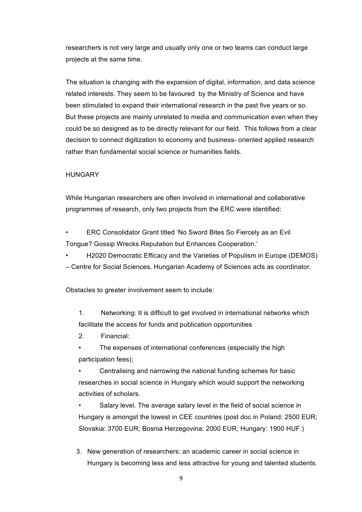researchers is not very large and usually only one or two teams can conduct large projects at the same time.

The situation is changing with the expansion of digital, information, and data science related interests. They seem to be favoured by the Ministry of Science and have been stimulated to expand their international research in the past five years or so. But these projects are mainly unrelated to media and communication even when they could be so designed as to be directly relevant for our field. This follows from a clear decision to connect digitization to economy and business- oriented applied research rather than fundamental social science or humanities fields.

#### **HUNGARY**

While Hungarian researchers are often involved in international and collaborative programmes of research, only two projects from the ERC were identified:

• ERC Consolidator Grant titled 'No Sword Bites So Fiercely as an Evil Tongue? Gossip Wrecks Reputation but Enhances Cooperation.'

• H2020 Democratic Efficacy and the Varieties of Populism in Europe (DEMOS) – Centre for Social Sciences, Hungarian Academy of Sciences acts as coordinator.

Obstacles to greater involvement seem to include:

1. Networking: It is difficult to get involved in international networks which facilitate the access for funds and publication opportunities

2. Financial:

The expenses of international conferences (especially the high participation fees);

• Centralising and narrowing the national funding schemes for basic researches in social science in Hungary which would support the networking activities of scholars.

Salary level. The average salary level in the field of social science in Hungary is amongst the lowest in CEE countries (post doc in Poland: 2500 EUR; Slovakia: 3700 EUR; Bosnia Herzegovina: 2000 EUR; Hungary: 1900 HUF.)

3. New generation of researchers: an academic career in social science in Hungary is becoming less and less attractive for young and talented students.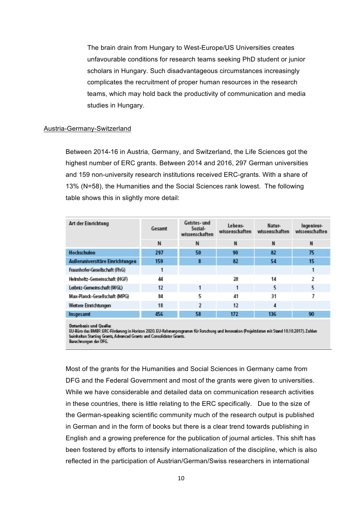The brain drain from Hungary to West-Europe/US Universities creates unfavourable conditions for research teams seeking PhD student or junior scholars in Hungary. Such disadvantageous circumstances increasingly complicates the recruitment of proper human resources in the research teams, which may hold back the productivity of communication and media studies in Hungary.

#### Austria-Germany-Switzerland

Between 2014-16 in Austria, Germany, and Switzerland, the Life Sciences got the highest number of ERC grants. Between 2014 and 2016, 297 German universities and 159 non-university research institutions received ERC-grants. With a share of 13% (N=58), the Humanities and the Social Sciences rank lowest. The following table shows this in slightly more detail:

| Art der Einrichtung             | Gesamt | Gelstes- und<br>Sozial-<br>wissenschaften | Lebens-<br>wissenschaften | Natur-<br>wissenschaften | Ingenieur-<br>wissenschaften |
|---------------------------------|--------|-------------------------------------------|---------------------------|--------------------------|------------------------------|
|                                 | N      | N                                         | N                         | N                        | N                            |
| Hochschulen                     | 297    | 50                                        | 90                        | 82                       | 75                           |
| Außeruniversitäre Einrichtungen | 159    | 8                                         | 82                        | 54                       | 15                           |
| Fraunhofer-Gesellschaft (FhG)   |        |                                           |                           |                          |                              |
| Helmholtz-Gemeinschaft (HGF)    | 44     |                                           | 28                        | 14                       | 2                            |
| Leibniz-Gemeinschaft (WGL)      | 12     |                                           |                           | 5                        | 5                            |
| Max-Planck-Gesellschaft (MPG)   | 84     | 5                                         | 41                        | 31                       |                              |
| Weitere Einrichtungen           | 18     | 2                                         | 12                        | 4                        |                              |
| Insgesamt                       | 456    | 58                                        | 172                       | 136                      | 90                           |

**Datenbasis und Quelle:** 

EU-Büro des BMBF: ERC-Förderung in Horizon 2020. EU-Rahmenprogramm für Forschung und Innovation (Projektdaten mit Stand 10.10.2017). Zahlen beinhalten Starting Grants, Advanced Grants und Consolidator Grants. Berechnungen der DFG.

Most of the grants for the Humanities and Social Sciences in Germany came from DFG and the Federal Government and most of the grants were given to universities. While we have considerable and detailed data on communication research activities in these countries, there is little relating to the ERC specifically. Due to the size of the German-speaking scientific community much of the research output is published in German and in the form of books but there is a clear trend towards publishing in English and a growing preference for the publication of journal articles. This shift has been fostered by efforts to intensify internationalization of the discipline, which is also reflected in the participation of Austrian/German/Swiss researchers in international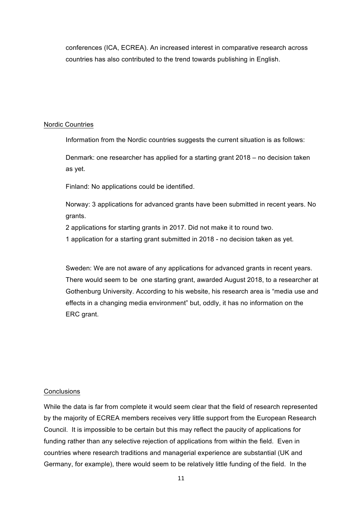conferences (ICA, ECREA). An increased interest in comparative research across countries has also contributed to the trend towards publishing in English.

### Nordic Countries

Information from the Nordic countries suggests the current situation is as follows:

Denmark: one researcher has applied for a starting grant 2018 – no decision taken as yet.

Finland: No applications could be identified.

Norway: 3 applications for advanced grants have been submitted in recent years. No grants.

2 applications for starting grants in 2017. Did not make it to round two.

1 application for a starting grant submitted in 2018 - no decision taken as yet.

Sweden: We are not aware of any applications for advanced grants in recent years. There would seem to be one starting grant, awarded August 2018, to a researcher at Gothenburg University. According to his website, his research area is "media use and effects in a changing media environment" but, oddly, it has no information on the ERC grant.

### **Conclusions**

While the data is far from complete it would seem clear that the field of research represented by the majority of ECREA members receives very little support from the European Research Council. It is impossible to be certain but this may reflect the paucity of applications for funding rather than any selective rejection of applications from within the field. Even in countries where research traditions and managerial experience are substantial (UK and Germany, for example), there would seem to be relatively little funding of the field. In the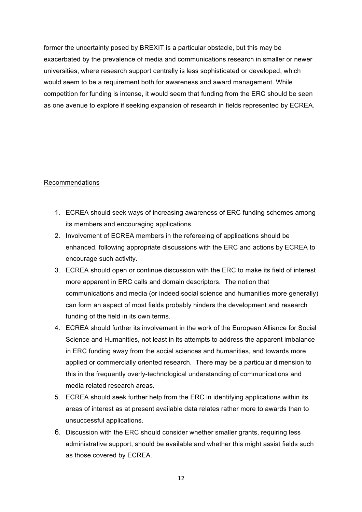former the uncertainty posed by BREXIT is a particular obstacle, but this may be exacerbated by the prevalence of media and communications research in smaller or newer universities, where research support centrally is less sophisticated or developed, which would seem to be a requirement both for awareness and award management. While competition for funding is intense, it would seem that funding from the ERC should be seen as one avenue to explore if seeking expansion of research in fields represented by ECREA.

## Recommendations

- 1. ECREA should seek ways of increasing awareness of ERC funding schemes among its members and encouraging applications.
- 2. Involvement of ECREA members in the refereeing of applications should be enhanced, following appropriate discussions with the ERC and actions by ECREA to encourage such activity.
- 3. ECREA should open or continue discussion with the ERC to make its field of interest more apparent in ERC calls and domain descriptors. The notion that communications and media (or indeed social science and humanities more generally) can form an aspect of most fields probably hinders the development and research funding of the field in its own terms.
- 4. ECREA should further its involvement in the work of the European Alliance for Social Science and Humanities, not least in its attempts to address the apparent imbalance in ERC funding away from the social sciences and humanities, and towards more applied or commercially oriented research. There may be a particular dimension to this in the frequently overly-technological understanding of communications and media related research areas.
- 5. ECREA should seek further help from the ERC in identifying applications within its areas of interest as at present available data relates rather more to awards than to unsuccessful applications.
- 6. Discussion with the ERC should consider whether smaller grants, requiring less administrative support, should be available and whether this might assist fields such as those covered by ECREA.